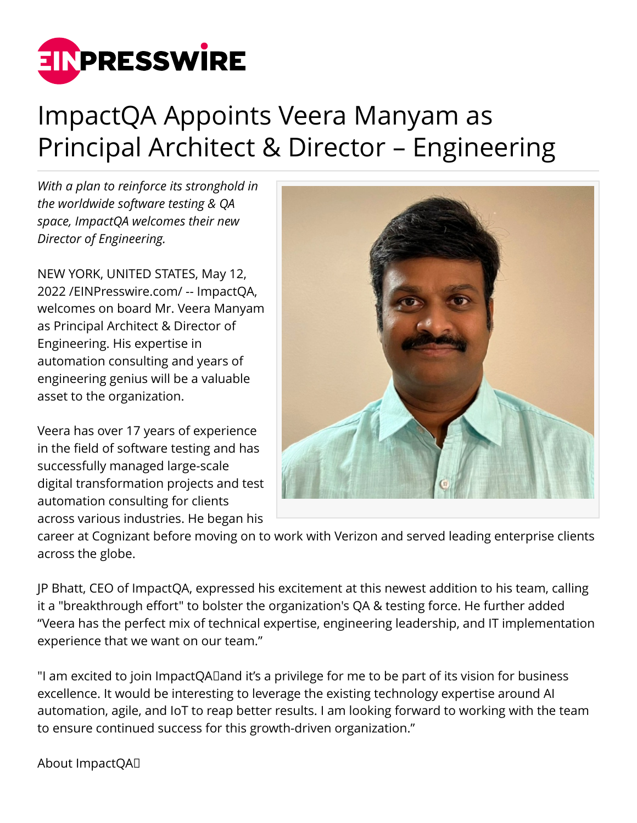

## ImpactQA Appoints Veera Manyam as Principal Architect & Director – Engineering

*With a plan to reinforce its stronghold in the worldwide software testing & QA space, ImpactQA welcomes their new Director of Engineering.*

NEW YORK, UNITED STATES, May 12, 2022 /[EINPresswire.com](http://www.einpresswire.com)/ -- ImpactQA, welcomes on board Mr. Veera Manyam as Principal Architect & Director of Engineering. His expertise in automation consulting and years of engineering genius will be a valuable asset to the organization.

Veera has over 17 years of experience in the field of software testing and has successfully managed large-scale digital transformation projects and test automation consulting for clients across various industries. He began his



career at Cognizant before moving on to work with Verizon and served leading enterprise clients across the globe.

JP Bhatt, CEO of ImpactQA, expressed his excitement at this newest addition to his team, calling it a "breakthrough effort" to bolster the organization's QA & testing force. He further added "Veera has the perfect mix of technical expertise, engineering leadership, and IT implementation experience that we want on our team."

"I am excited to join ImpactQA and it's a privilege for me to be part of its vision for business excellence. It would be interesting to leverage the existing technology expertise around AI automation, agile, and IoT to reap better results. I am looking forward to working with the team to ensure continued success for this growth-driven organization."

About ImpactQA